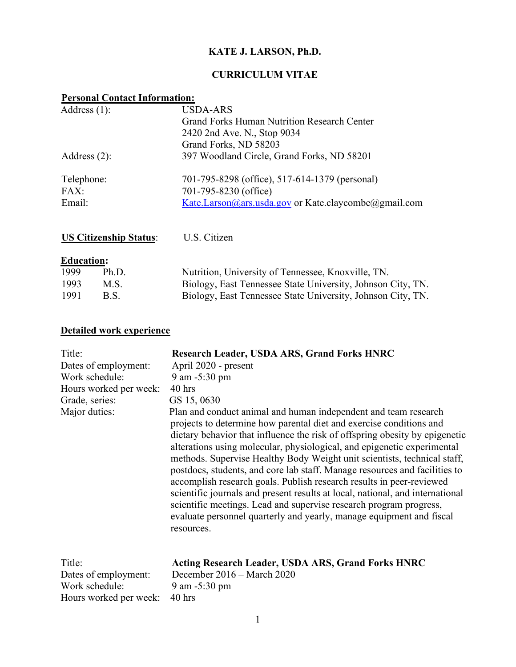## **KATE J. LARSON, Ph.D.**

# **CURRICULUM VITAE**

## **Personal Contact Information:**

| Address $(1)$ :               | <b>USDA-ARS</b>                                      |
|-------------------------------|------------------------------------------------------|
|                               | Grand Forks Human Nutrition Research Center          |
|                               | 2420 2nd Ave. N., Stop 9034                          |
|                               | Grand Forks, ND 58203                                |
| Address $(2)$ :               | 397 Woodland Circle, Grand Forks, ND 58201           |
| Telephone:                    | 701-795-8298 (office), 517-614-1379 (personal)       |
| FAX:                          | 701-795-8230 (office)                                |
| Email:                        | Kate.Larson@ars.usda.gov or Kate.claycombe@gmail.com |
| <b>US Citizenship Status:</b> | U.S. Citizen                                         |
|                               |                                                      |
| <b>Education:</b>             |                                                      |

| 1999 | Ph.D.       | Nutrition, University of Tennessee, Knoxville, TN.          |
|------|-------------|-------------------------------------------------------------|
| 1993 | M.S.        | Biology, East Tennessee State University, Johnson City, TN. |
| 1991 | <b>B.S.</b> | Biology, East Tennessee State University, Johnson City, TN. |

# **Detailed work experience**

Hours worked per week: 40 hrs

| Title:<br>Dates of employment:<br>Work schedule:<br>Hours worked per week:<br>Grade, series:<br>Major duties: | <b>Research Leader, USDA ARS, Grand Forks HNRC</b><br>April 2020 - present<br>9 am -5:30 pm<br>$40$ hrs<br>GS 15, 0630<br>Plan and conduct animal and human independent and team research<br>projects to determine how parental diet and exercise conditions and<br>dietary behavior that influence the risk of offspring obesity by epigenetic<br>alterations using molecular, physiological, and epigenetic experimental<br>methods. Supervise Healthy Body Weight unit scientists, technical staff,<br>postdocs, students, and core lab staff. Manage resources and facilities to<br>accomplish research goals. Publish research results in peer-reviewed<br>scientific journals and present results at local, national, and international<br>scientific meetings. Lead and supervise research program progress,<br>evaluate personnel quarterly and yearly, manage equipment and fiscal<br>resources. |
|---------------------------------------------------------------------------------------------------------------|-----------------------------------------------------------------------------------------------------------------------------------------------------------------------------------------------------------------------------------------------------------------------------------------------------------------------------------------------------------------------------------------------------------------------------------------------------------------------------------------------------------------------------------------------------------------------------------------------------------------------------------------------------------------------------------------------------------------------------------------------------------------------------------------------------------------------------------------------------------------------------------------------------------|
| Title:                                                                                                        | <b>Acting Research Leader, USDA ARS, Grand Forks HNRC</b>                                                                                                                                                                                                                                                                                                                                                                                                                                                                                                                                                                                                                                                                                                                                                                                                                                                 |
| Dates of employment:                                                                                          | December 2016 - March 2020                                                                                                                                                                                                                                                                                                                                                                                                                                                                                                                                                                                                                                                                                                                                                                                                                                                                                |
| Work schedule:                                                                                                | 9 am $-5:30 \text{ pm}$                                                                                                                                                                                                                                                                                                                                                                                                                                                                                                                                                                                                                                                                                                                                                                                                                                                                                   |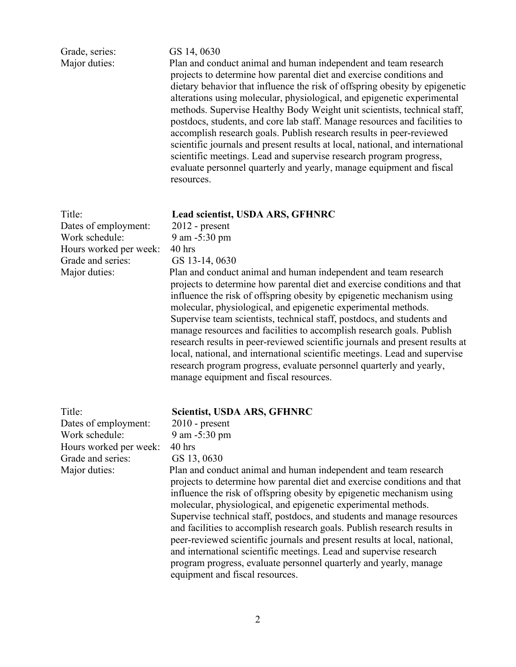| Grade, series:<br>Major duties:                                                                                  | GS 14, 0630<br>Plan and conduct animal and human independent and team research<br>projects to determine how parental diet and exercise conditions and<br>dietary behavior that influence the risk of offspring obesity by epigenetic<br>alterations using molecular, physiological, and epigenetic experimental<br>methods. Supervise Healthy Body Weight unit scientists, technical staff,<br>postdocs, students, and core lab staff. Manage resources and facilities to<br>accomplish research goals. Publish research results in peer-reviewed<br>scientific journals and present results at local, national, and international<br>scientific meetings. Lead and supervise research program progress,<br>evaluate personnel quarterly and yearly, manage equipment and fiscal<br>resources.                                  |
|------------------------------------------------------------------------------------------------------------------|---------------------------------------------------------------------------------------------------------------------------------------------------------------------------------------------------------------------------------------------------------------------------------------------------------------------------------------------------------------------------------------------------------------------------------------------------------------------------------------------------------------------------------------------------------------------------------------------------------------------------------------------------------------------------------------------------------------------------------------------------------------------------------------------------------------------------------|
| Title:<br>Dates of employment:<br>Work schedule:<br>Hours worked per week:<br>Grade and series:<br>Major duties: | Lead scientist, USDA ARS, GFHNRC<br>$2012$ - present<br>9 am -5:30 pm<br>$40$ hrs<br>GS 13-14, 0630<br>Plan and conduct animal and human independent and team research<br>projects to determine how parental diet and exercise conditions and that<br>influence the risk of offspring obesity by epigenetic mechanism using<br>molecular, physiological, and epigenetic experimental methods.<br>Supervise team scientists, technical staff, postdocs, and students and<br>manage resources and facilities to accomplish research goals. Publish<br>research results in peer-reviewed scientific journals and present results at<br>local, national, and international scientific meetings. Lead and supervise<br>research program progress, evaluate personnel quarterly and yearly,<br>manage equipment and fiscal resources. |
| Title:<br>Dates of employment:<br>Work schedule:<br>Hours worked per week:<br>Grade and series:<br>Major duties: | <b>Scientist, USDA ARS, GFHNRC</b><br>$2010$ - present<br>9 am -5:30 pm<br>$40$ hrs<br>GS 13, 0630<br>Plan and conduct animal and human independent and team research<br>projects to determine how parental diet and exercise conditions and that<br>influence the risk of offspring obesity by epigenetic mechanism using<br>molecular, physiological, and epigenetic experimental methods.<br>Supervise technical staff, postdocs, and students and manage resources<br>and facilities to accomplish research goals. Publish research results in<br>peer-reviewed scientific journals and present results at local, national,<br>and international scientific meetings. Lead and supervise research<br>program progress, evaluate personnel quarterly and yearly, manage                                                      |

equipment and fiscal resources.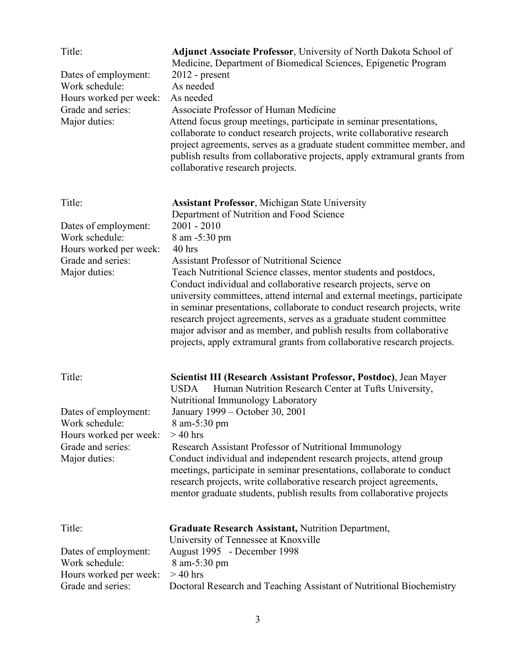| Title:<br>Dates of employment:<br>Work schedule:<br>Hours worked per week:<br>Grade and series:<br>Major duties: | <b>Adjunct Associate Professor</b> , University of North Dakota School of<br>Medicine, Department of Biomedical Sciences, Epigenetic Program<br>$2012$ - present<br>As needed<br>As needed<br>Associate Professor of Human Medicine<br>Attend focus group meetings, participate in seminar presentations,<br>collaborate to conduct research projects, write collaborative research<br>project agreements, serves as a graduate student committee member, and<br>publish results from collaborative projects, apply extramural grants from<br>collaborative research projects. |
|------------------------------------------------------------------------------------------------------------------|--------------------------------------------------------------------------------------------------------------------------------------------------------------------------------------------------------------------------------------------------------------------------------------------------------------------------------------------------------------------------------------------------------------------------------------------------------------------------------------------------------------------------------------------------------------------------------|
| Title:                                                                                                           | <b>Assistant Professor, Michigan State University</b>                                                                                                                                                                                                                                                                                                                                                                                                                                                                                                                          |
| Dates of employment:<br>Work schedule:<br>Hours worked per week:                                                 | Department of Nutrition and Food Science<br>$2001 - 2010$<br>8 am -5:30 pm<br>$40$ hrs                                                                                                                                                                                                                                                                                                                                                                                                                                                                                         |
| Grade and series:<br>Major duties:                                                                               | <b>Assistant Professor of Nutritional Science</b><br>Teach Nutritional Science classes, mentor students and postdocs,<br>Conduct individual and collaborative research projects, serve on<br>university committees, attend internal and external meetings, participate<br>in seminar presentations, collaborate to conduct research projects, write<br>research project agreements, serves as a graduate student committee<br>major advisor and as member, and publish results from collaborative<br>projects, apply extramural grants from collaborative research projects.   |
| Title:                                                                                                           | Scientist III (Research Assistant Professor, Postdoc), Jean Mayer<br>Human Nutrition Research Center at Tufts University,<br><b>USDA</b>                                                                                                                                                                                                                                                                                                                                                                                                                                       |
| Dates of employment:<br>Work schedule:<br>Hours worked per week:                                                 | Nutritional Immunology Laboratory<br>January 1999 – October 30, 2001<br>8 am-5:30 pm<br>$>40$ hrs                                                                                                                                                                                                                                                                                                                                                                                                                                                                              |
| Grade and series:<br>Major duties:                                                                               | Research Assistant Professor of Nutritional Immunology<br>Conduct individual and independent research projects, attend group<br>meetings, participate in seminar presentations, collaborate to conduct<br>research projects, write collaborative research project agreements,<br>mentor graduate students, publish results from collaborative projects                                                                                                                                                                                                                         |
| Title:                                                                                                           | <b>Graduate Research Assistant, Nutrition Department,</b><br>University of Tennessee at Knoxville                                                                                                                                                                                                                                                                                                                                                                                                                                                                              |
| Dates of employment:<br>Work schedule:<br>Hours worked per week:                                                 | August 1995 - December 1998<br>8 am-5:30 pm<br>$>40$ hrs                                                                                                                                                                                                                                                                                                                                                                                                                                                                                                                       |
| Grade and series:                                                                                                | Doctoral Research and Teaching Assistant of Nutritional Biochemistry                                                                                                                                                                                                                                                                                                                                                                                                                                                                                                           |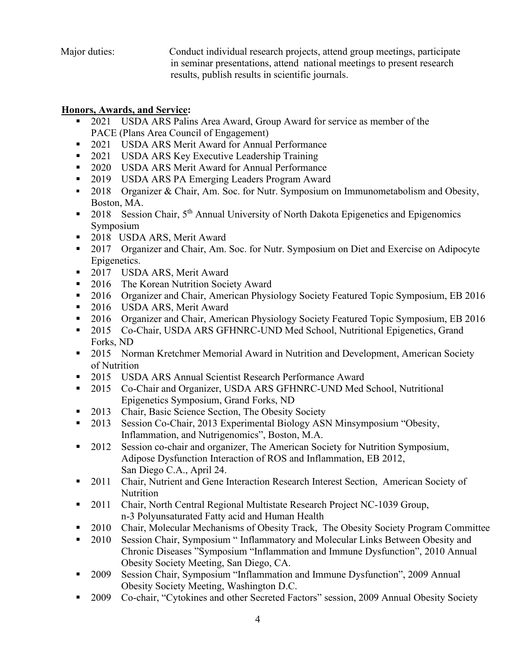Major duties: Conduct individual research projects, attend group meetings, participate in seminar presentations, attend national meetings to present research results, publish results in scientific journals.

### **Honors, Awards, and Service:**

- 2021 USDA ARS Palins Area Award, Group Award for service as member of the PACE (Plans Area Council of Engagement)
- 2021 USDA ARS Merit Award for Annual Performance
- 2021 USDA ARS Key Executive Leadership Training
- 2020 USDA ARS Merit Award for Annual Performance
- 2019 USDA ARS PA Emerging Leaders Program Award
- 2018 Organizer & Chair, Am. Soc. for Nutr. Symposium on Immunometabolism and Obesity, Boston, MA.
- 2018 Session Chair,  $5<sup>th</sup>$  Annual University of North Dakota Epigenetics and Epigenomics Symposium
- 2018 USDA ARS, Merit Award
- 2017 Organizer and Chair, Am. Soc. for Nutr. Symposium on Diet and Exercise on Adipocyte Epigenetics.
- 2017 USDA ARS, Merit Award
- 2016 The Korean Nutrition Society Award
- <sup>2016</sup> Organizer and Chair, American Physiology Society Featured Topic Symposium, EB 2016
- 2016 USDA ARS, Merit Award
- 2016 Organizer and Chair, American Physiology Society Featured Topic Symposium, EB 2016
- 2015 Co-Chair, USDA ARS GFHNRC-UND Med School, Nutritional Epigenetics, Grand Forks, ND
- 2015 Norman Kretchmer Memorial Award in Nutrition and Development, American Society of Nutrition
- 2015 USDA ARS Annual Scientist Research Performance Award
- 2015 Co-Chair and Organizer, USDA ARS GFHNRC-UND Med School, Nutritional Epigenetics Symposium, Grand Forks, ND
- 2013 Chair, Basic Science Section, The Obesity Society
- 2013 Session Co-Chair, 2013 Experimental Biology ASN Minsymposium "Obesity, Inflammation, and Nutrigenomics", Boston, M.A.
- 2012 Session co-chair and organizer, The American Society for Nutrition Symposium, Adipose Dysfunction Interaction of ROS and Inflammation, EB 2012, San Diego C.A., April 24.
- 2011 Chair, Nutrient and Gene Interaction Research Interest Section, American Society of Nutrition
- 2011 Chair, North Central Regional Multistate Research Project NC-1039 Group, n-3 Polyunsaturated Fatty acid and Human Health
- 2010 Chair, Molecular Mechanisms of Obesity Track, The Obesity Society Program Committee
- 2010 Session Chair, Symposium " Inflammatory and Molecular Links Between Obesity and Chronic Diseases "Symposium "Inflammation and Immune Dysfunction", 2010 Annual Obesity Society Meeting, San Diego, CA.
- 2009 Session Chair, Symposium "Inflammation and Immune Dysfunction", 2009 Annual Obesity Society Meeting, Washington D.C.
- 2009 Co-chair, "Cytokines and other Secreted Factors" session, 2009 Annual Obesity Society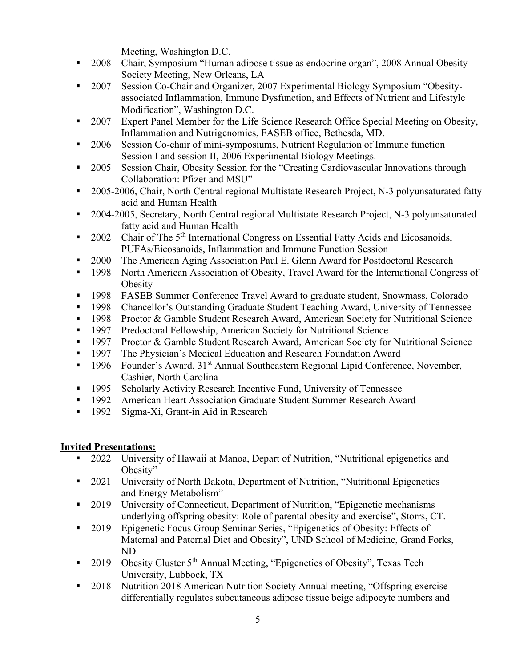Meeting, Washington D.C.

- 2008 Chair, Symposium "Human adipose tissue as endocrine organ", 2008 Annual Obesity Society Meeting, New Orleans, LA
- <sup>2007</sup> Session Co-Chair and Organizer, 2007 Experimental Biology Symposium "Obesityassociated Inflammation, Immune Dysfunction, and Effects of Nutrient and Lifestyle Modification", Washington D.C.
- 2007 Expert Panel Member for the Life Science Research Office Special Meeting on Obesity, Inflammation and Nutrigenomics, FASEB office, Bethesda, MD.
- <sup>2006</sup> Session Co-chair of mini-symposiums, Nutrient Regulation of Immune function Session I and session II, 2006 Experimental Biology Meetings.
- <sup>2005</sup> Session Chair, Obesity Session for the "Creating Cardiovascular Innovations through Collaboration: Pfizer and MSU"
- 2005-2006, Chair, North Central regional Multistate Research Project, N-3 polyunsaturated fatty acid and Human Health
- <sup>2004-2005, Secretary, North Central regional Multistate Research Project, N-3 polyunsaturated</sup> fatty acid and Human Health
- 2002 Chair of The  $5<sup>th</sup>$  International Congress on Essential Fatty Acids and Eicosanoids, PUFAs/Eicosanoids, Inflammation and Immune Function Session
- 2000 The American Aging Association Paul E. Glenn Award for Postdoctoral Research
- 1998 North American Association of Obesity, Travel Award for the International Congress of **Obesity**
- **1998** FASEB Summer Conference Travel Award to graduate student, Snowmass, Colorado
- <sup>1998</sup> Chancellor's Outstanding Graduate Student Teaching Award, University of Tennessee
- **1998** Proctor & Gamble Student Research Award, American Society for Nutritional Science
- 1997 Predoctoral Fellowship, American Society for Nutritional Science
- 1997 Proctor & Gamble Student Research Award, American Society for Nutritional Science
- **1997** The Physician's Medical Education and Research Foundation Award
- <sup>1996</sup> Founder's Award, 31<sup>st</sup> Annual Southeastern Regional Lipid Conference, November, Cashier, North Carolina
- 1995 Scholarly Activity Research Incentive Fund, University of Tennessee<br>1992 American Heart Association Graduate Student Summer Research Awa
- American Heart Association Graduate Student Summer Research Award
- <sup>1992</sup> Sigma-Xi, Grant-in Aid in Research

### **Invited Presentations:**

- 2022 University of Hawaii at Manoa, Depart of Nutrition, "Nutritional epigenetics and Obesity"
- 2021 University of North Dakota, Department of Nutrition, "Nutritional Epigenetics and Energy Metabolism"
- 2019 University of Connecticut, Department of Nutrition, "Epigenetic mechanisms" underlying offspring obesity: Role of parental obesity and exercise", Storrs, CT.
- 2019 Epigenetic Focus Group Seminar Series, "Epigenetics of Obesity: Effects of Maternal and Paternal Diet and Obesity", UND School of Medicine, Grand Forks, ND
- 2019 Obesity Cluster 5<sup>th</sup> Annual Meeting, "Epigenetics of Obesity", Texas Tech University, Lubbock, TX
- 2018 Nutrition 2018 American Nutrition Society Annual meeting, "Offspring exercise differentially regulates subcutaneous adipose tissue beige adipocyte numbers and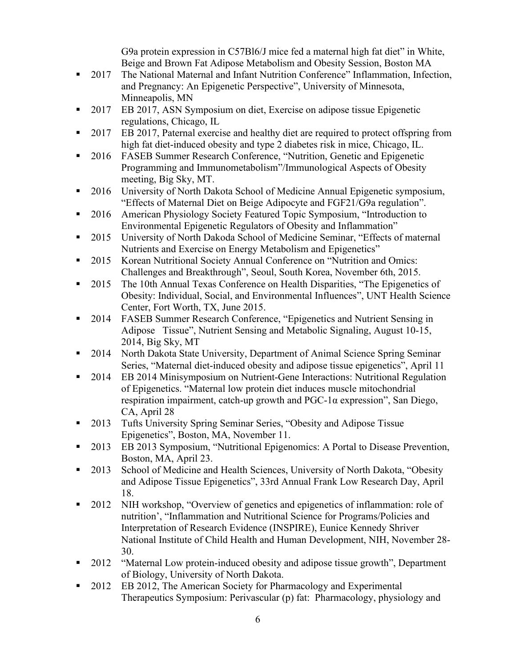G9a protein expression in C57Bl6/J mice fed a maternal high fat diet" in White, Beige and Brown Fat Adipose Metabolism and Obesity Session, Boston MA

- 2017 The National Maternal and Infant Nutrition Conference" Inflammation, Infection, and Pregnancy: An Epigenetic Perspective", University of Minnesota, Minneapolis, MN
- 2017 EB 2017, ASN Symposium on diet, Exercise on adipose tissue Epigenetic regulations, Chicago, IL
- 2017 EB 2017, Paternal exercise and healthy diet are required to protect offspring from high fat diet-induced obesity and type 2 diabetes risk in mice, Chicago, IL.
- 2016 FASEB Summer Research Conference, "Nutrition, Genetic and Epigenetic Programming and Immunometabolism"/Immunological Aspects of Obesity meeting, Big Sky, MT.
- 2016 University of North Dakota School of Medicine Annual Epigenetic symposium, "Effects of Maternal Diet on Beige Adipocyte and FGF21/G9a regulation".
- 2016 American Physiology Society Featured Topic Symposium, "Introduction to Environmental Epigenetic Regulators of Obesity and Inflammation"
- 2015 University of North Dakoda School of Medicine Seminar, "Effects of maternal Nutrients and Exercise on Energy Metabolism and Epigenetics"
- 2015 Korean Nutritional Society Annual Conference on "Nutrition and Omics: Challenges and Breakthrough", Seoul, South Korea, November 6th, 2015.
- 2015 The 10th Annual Texas Conference on Health Disparities, "The Epigenetics of Obesity: Individual, Social, and Environmental Influences", UNT Health Science Center, Fort Worth, TX, June 2015.
- 2014 FASEB Summer Research Conference, "Epigenetics and Nutrient Sensing in Adipose Tissue", Nutrient Sensing and Metabolic Signaling, August 10-15, 2014, Big Sky, MT
- 2014 North Dakota State University, Department of Animal Science Spring Seminar Series, "Maternal diet-induced obesity and adipose tissue epigenetics", April 11
- 2014 EB 2014 Minisymposium on Nutrient-Gene Interactions: Nutritional Regulation of Epigenetics. "Maternal low protein diet induces muscle mitochondrial respiration impairment, catch-up growth and PGC-1α expression", San Diego, CA, April 28
- 2013 Tufts University Spring Seminar Series, "Obesity and Adipose Tissue Epigenetics", Boston, MA, November 11.
- 2013 EB 2013 Symposium, "Nutritional Epigenomics: A Portal to Disease Prevention, Boston, MA, April 23.
- 2013 School of Medicine and Health Sciences, University of North Dakota, "Obesity and Adipose Tissue Epigenetics", 33rd Annual Frank Low Research Day, April 18.
- <sup>2012</sup> NIH workshop, "Overview of genetics and epigenetics of inflammation: role of nutrition', "Inflammation and Nutritional Science for Programs/Policies and Interpretation of Research Evidence (INSPIRE), Eunice Kennedy Shriver National Institute of Child Health and Human Development, NIH, November 28- 30.
- 2012 "Maternal Low protein-induced obesity and adipose tissue growth", Department of Biology, University of North Dakota.
- 2012 EB 2012, The American Society for Pharmacology and Experimental Therapeutics Symposium: Perivascular (p) fat: Pharmacology, physiology and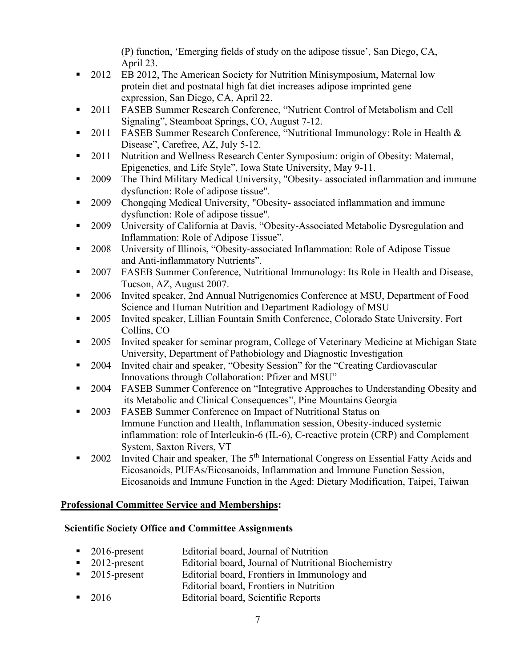(P) function, 'Emerging fields of study on the adipose tissue', San Diego, CA, April 23.

- 2012 EB 2012, The American Society for Nutrition Minisymposium, Maternal low protein diet and postnatal high fat diet increases adipose imprinted gene expression, San Diego, CA, April 22.
- 2011 FASEB Summer Research Conference, "Nutrient Control of Metabolism and Cell Signaling", Steamboat Springs, CO, August 7-12.
- 2011 FASEB Summer Research Conference, ["Nutritional Immunology: Role in Health &](http://faseb.planion.com/Web.User/Evaluate?ACCOUNT=FASEB&CONF=SRC11&PID=107508&SCHEDID=110086&WEBKEY=FX42gp99W&FORMID=) [Disease"](http://faseb.planion.com/Web.User/Evaluate?ACCOUNT=FASEB&CONF=SRC11&PID=107508&SCHEDID=110086&WEBKEY=FX42gp99W&FORMID=), Carefree, AZ, July 5-12.
- 2011 Nutrition and Wellness Research Center Symposium: origin of Obesity: Maternal, Epigenetics, and Life Style", Iowa State University, May 9-11.
- 2009 The Third Military Medical University, "Obesity- associated inflammation and immune dysfunction: Role of adipose tissue".
- 2009 Chongqing Medical University, "Obesity- associated inflammation and immune dysfunction: Role of adipose tissue".
- 2009 University of California at Davis, "Obesity-Associated Metabolic Dysregulation and Inflammation: Role of Adipose Tissue".
- 2008 University of Illinois, "Obesity-associated Inflammation: Role of Adipose Tissue and Anti-inflammatory Nutrients".
- 2007 FASEB Summer Conference, Nutritional Immunology: Its Role in Health and Disease, Tucson, AZ, August 2007.
- 2006 Invited speaker, 2nd Annual Nutrigenomics Conference at MSU, Department of Food Science and Human Nutrition and Department Radiology of MSU
- 2005 Invited speaker, Lillian Fountain Smith Conference, Colorado State University, Fort Collins, CO
- 2005 Invited speaker for seminar program, College of Veterinary Medicine at Michigan State University, Department of Pathobiology and Diagnostic Investigation
- **2004** Invited chair and speaker, "Obesity Session" for the "Creating Cardiovascular Innovations through Collaboration: Pfizer and MSU"
- 2004 FASEB Summer Conference on "Integrative Approaches to Understanding Obesity and its Metabolic and Clinical Consequences", Pine Mountains Georgia
- 2003 FASEB Summer Conference on Impact of Nutritional Status on Immune Function and Health, Inflammation session, Obesity-induced systemic inflammation: role of Interleukin-6 (IL-6), C-reactive protein (CRP) and Complement System, Saxton Rivers, VT
- 2002 Invited Chair and speaker, The 5<sup>th</sup> International Congress on Essential Fatty Acids and Eicosanoids, PUFAs/Eicosanoids, Inflammation and Immune Function Session, Eicosanoids and Immune Function in the Aged: Dietary Modification, Taipei, Taiwan

### **Professional Committee Service and Memberships:**

### **Scientific Society Office and Committee Assignments**

- 2016-present Editorial board, Journal of Nutrition
- 2012-present Editorial board, Journal of Nutritional Biochemistry
- 2015-present Editorial board, Frontiers in Immunology and
- Editorial board, Frontiers in Nutrition
- 2016 Editorial board, Scientific Reports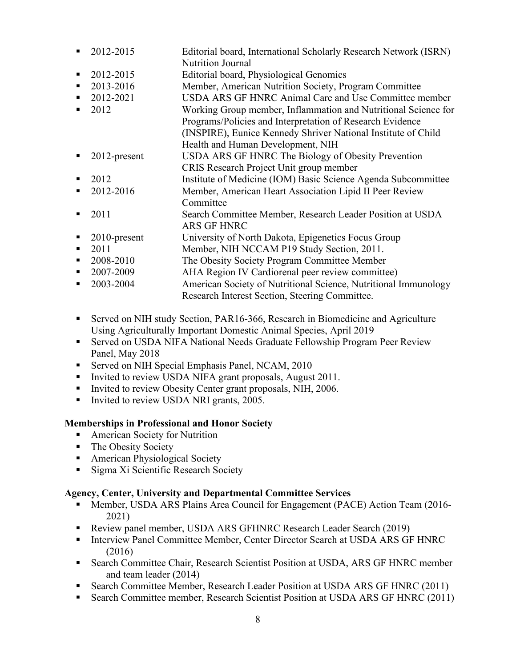| п              | 2012-2015       | Editorial board, International Scholarly Research Network (ISRN) |
|----------------|-----------------|------------------------------------------------------------------|
|                |                 | <b>Nutrition Journal</b>                                         |
| ٠              | 2012-2015       | Editorial board, Physiological Genomics                          |
| ٠              | 2013-2016       | Member, American Nutrition Society, Program Committee            |
| $\blacksquare$ | 2012-2021       | USDA ARS GF HNRC Animal Care and Use Committee member            |
|                | 2012            | Working Group member, Inflammation and Nutritional Science for   |
|                |                 | Programs/Policies and Interpretation of Research Evidence        |
|                |                 | (INSPIRE), Eunice Kennedy Shriver National Institute of Child    |
|                |                 | Health and Human Development, NIH                                |
| ٠              | 2012-present    | USDA ARS GF HNRC The Biology of Obesity Prevention               |
|                |                 | CRIS Research Project Unit group member                          |
| ٠              | 2012            | Institute of Medicine (IOM) Basic Science Agenda Subcommittee    |
| ٠              | 2012-2016       | Member, American Heart Association Lipid II Peer Review          |
|                |                 | Committee                                                        |
| ٠              | 2011            | Search Committee Member, Research Leader Position at USDA        |
|                |                 | <b>ARS GF HNRC</b>                                               |
| п              | $2010$ -present | University of North Dakota, Epigenetics Focus Group              |
| п              | 2011            | Member, NIH NCCAM P19 Study Section, 2011.                       |
| ٠              | 2008-2010       | The Obesity Society Program Committee Member                     |
| ٠              | 2007-2009       | AHA Region IV Cardiorenal peer review committee)                 |
| ٠              | 2003-2004       | American Society of Nutritional Science, Nutritional Immunology  |
|                |                 |                                                                  |

■ Served on NIH study Section, PAR16-366, Research in Biomedicine and Agriculture Using Agriculturally Important Domestic Animal Species, April 2019

Research Interest Section, Steering Committee.

- Served on USDA NIFA National Needs Graduate Fellowship Program Peer Review Panel, May 2018
- **Served on NIH Special Emphasis Panel, NCAM, 2010**
- Invited to review USDA NIFA grant proposals, August 2011.
- Invited to review Obesity Center grant proposals, NIH, 2006.
- Invited to review USDA NRI grants, 2005.

#### **Memberships in Professional and Honor Society**

- **American Society for Nutrition**
- The Obesity Society
- **American Physiological Society**
- **Sigma Xi Scientific Research Society**

#### **Agency, Center, University and Departmental Committee Services**

- Member, USDA ARS Plains Area Council for Engagement (PACE) Action Team (2016- 2021)
- Review panel member, USDA ARS GFHNRC Research Leader Search (2019)
- **Interview Panel Committee Member, Center Director Search at USDA ARS GF HNRC** (2016)
- Search Committee Chair, Research Scientist Position at USDA, ARS GF HNRC member and team leader (2014)
- Search Committee Member, Research Leader Position at USDA ARS GF HNRC (2011)
- Search Committee member, Research Scientist Position at USDA ARS GF HNRC (2011)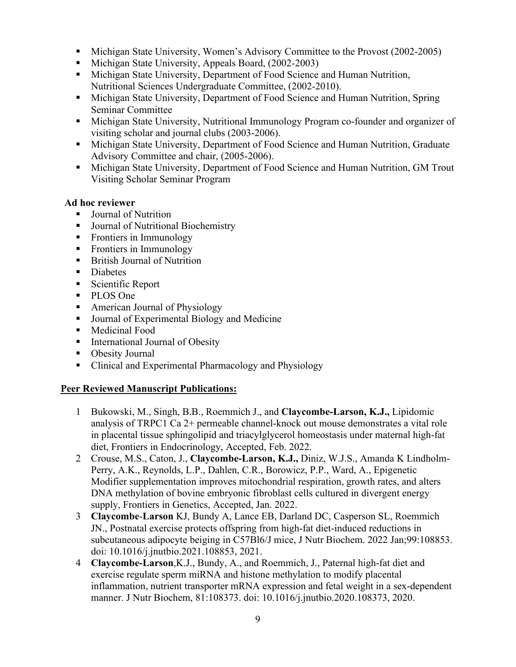- Michigan State University, Women's Advisory Committee to the Provost (2002-2005)
- Michigan State University, Appeals Board, (2002-2003)
- Michigan State University, Department of Food Science and Human Nutrition, Nutritional Sciences Undergraduate Committee, (2002-2010).
- Michigan State University, Department of Food Science and Human Nutrition, Spring Seminar Committee
- Michigan State University, Nutritional Immunology Program co-founder and organizer of visiting scholar and journal clubs (2003-2006).
- Michigan State University, Department of Food Science and Human Nutrition, Graduate Advisory Committee and chair, (2005-2006).
- Michigan State University, Department of Food Science and Human Nutrition, GM Trout Visiting Scholar Seminar Program

### **Ad hoc reviewer**

- Journal of Nutrition
- Journal of Nutritional Biochemistry
- **Frontiers in Immunology**
- **Figure** Frontiers in Immunology
- British Journal of Nutrition
- **Diabetes**
- Scientific Report
- PLOS One
- American Journal of Physiology
- **Journal of Experimental Biology and Medicine**
- **Medicinal Food**
- **International Journal of Obesity**
- Obesity Journal
- Clinical and Experimental Pharmacology and Physiology

### **Peer Reviewed Manuscript Publications:**

- 1 Bukowski, M., Singh, B.B., Roemmich J., and **Claycombe-Larson, K.J.,** Lipidomic analysis of TRPC1 Ca 2+ permeable channel-knock out mouse demonstrates a vital role in placental tissue sphingolipid and triacylglycerol homeostasis under maternal high-fat diet, Frontiers in Endocrinology, Accepted, Feb. 2022.
- 2 Crouse, M.S., Caton, J., **Claycombe-Larson, K.J.,** Diniz, W.J.S., Amanda K Lindholm-Perry, A.K., Reynolds, L.P., Dahlen, C.R., Borowicz, P.P., Ward, A., Epigenetic Modifier supplementation improves mitochondrial respiration, growth rates, and alters DNA methylation of bovine embryonic fibroblast cells cultured in divergent energy supply, Frontiers in Genetics, Accepted, Jan. 2022.
- 3 **Claycombe**-**Larson** [KJ, Bundy A, Lance EB, Darland DC, Casperson SL, Roemmich](https://pubmed.ncbi.nlm.nih.gov/34517093/)  [JN., Postnatal exercise protects offspring from high-fat diet-induced reductions in](https://pubmed.ncbi.nlm.nih.gov/34517093/)  [subcutaneous adipocyte beiging in C57Bl6/J mice, J](https://pubmed.ncbi.nlm.nih.gov/34517093/) Nutr Biochem. 2022 Jan;99:108853. doi: 10.1016/j.jnutbio.2021.108853, 2021.
- 4 **Claycombe-Larson**,K.J., Bundy, A., and Roemmich, J., Paternal high-fat diet and exercise regulate sperm miRNA and histone methylation to modify placental inflammation, nutrient transporter mRNA expression and fetal weight in a sex-dependent manner. J Nutr Biochem, 81:108373. doi: 10.1016/j.jnutbio.2020.108373, 2020.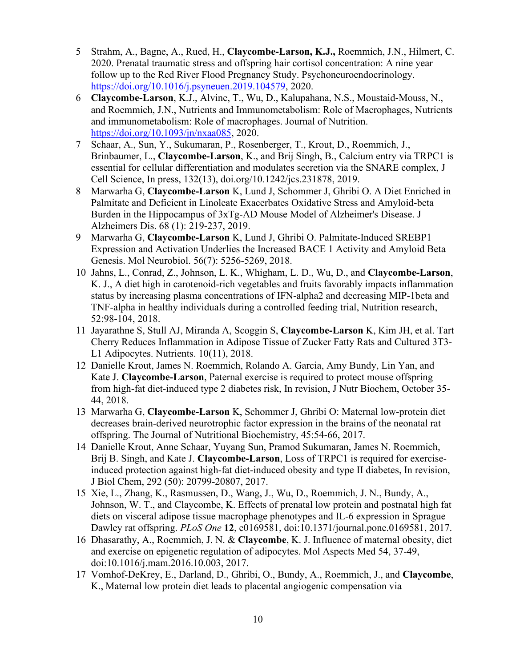- 5 Strahm, A., Bagne, A., Rued, H., **Claycombe-Larson, K.J.,** Roemmich, J.N., Hilmert, C. 2020. Prenatal traumatic stress and offspring hair cortisol concentration: A nine year follow up to the Red River Flood Pregnancy Study. Psychoneuroendocrinology. [https://doi.org/10.1016/j.psyneuen.2019.104579,](https://doi.org/10.1016/j.psyneuen.2019.104579) 2020.
- 6 **Claycombe-Larson**, K.J., Alvine, T., Wu, D., Kalupahana, N.S., Moustaid-Mouss, N., and Roemmich, J.N., Nutrients and Immunometabolism: Role of Macrophages, Nutrients and immunometabolism: Role of macrophages. Journal of Nutrition. [https://doi.org/10.1093/jn/nxaa085,](https://doi.org/10.1093/jn/nxaa085) 2020.
- 7 Schaar, A., Sun, Y., Sukumaran, P., Rosenberger, T., Krout, D., Roemmich, J., Brinbaumer, L., **Claycombe-Larson**, K., and Brij Singh, B., Calcium entry via TRPC1 is essential for cellular differentiation and modulates secretion via the SNARE complex, J Cell Science, In press, 132(13), doi.org/10.1242/jcs.231878, 2019.
- 8 Marwarha G, **Claycombe-Larson** K, Lund J, Schommer J, Ghribi O. A Diet Enriched in Palmitate and Deficient in Linoleate Exacerbates Oxidative Stress and Amyloid-beta Burden in the Hippocampus of 3xTg-AD Mouse Model of Alzheimer's Disease. J Alzheimers Dis. 68 (1): 219-237, 2019.
- 9 Marwarha G, **Claycombe-Larson** K, Lund J, Ghribi O. Palmitate-Induced SREBP1 Expression and Activation Underlies the Increased BACE 1 Activity and Amyloid Beta Genesis. Mol Neurobiol. 56(7): 5256-5269, 2018.
- 10 Jahns, L., Conrad, Z., Johnson, L. K., Whigham, L. D., Wu, D., and **Claycombe-Larson**, K. J., A diet high in carotenoid-rich vegetables and fruits favorably impacts inflammation status by increasing plasma concentrations of IFN-alpha2 and decreasing MIP-1beta and TNF-alpha in healthy individuals during a controlled feeding trial, Nutrition research, 52:98-104, 2018.
- 11 Jayarathne S, Stull AJ, Miranda A, Scoggin S, **Claycombe-Larson** K, Kim JH, et al. Tart Cherry Reduces Inflammation in Adipose Tissue of Zucker Fatty Rats and Cultured 3T3- L1 Adipocytes. Nutrients. 10(11), 2018.
- 12 Danielle Krout, James N. Roemmich, Rolando A. Garcia, Amy Bundy, Lin Yan, and Kate J. **Claycombe-Larson**, Paternal exercise is required to protect mouse offspring from high-fat diet-induced type 2 diabetes risk, In revision, J Nutr Biochem, October 35- 44, 2018.
- 13 Marwarha G, **Claycombe-Larson** K, Schommer J, Ghribi O: Maternal low-protein diet decreases brain-derived neurotrophic factor expression in the brains of the neonatal rat offspring. The Journal of Nutritional Biochemistry, 45:54-66, 2017.
- 14 Danielle Krout, Anne Schaar, Yuyang Sun, Pramod Sukumaran, James N. Roemmich, Brij B. Singh, and Kate J. **Claycombe-Larson**, Loss of TRPC1 is required for exerciseinduced protection against high-fat diet-induced obesity and type II diabetes, In revision, J Biol Chem, 292 (50): 20799-20807, 2017.
- 15 Xie, L., Zhang, K., Rasmussen, D., Wang, J., Wu, D., Roemmich, J. N., Bundy, A., Johnson, W. T., and Claycombe, K. Effects of prenatal low protein and postnatal high fat diets on visceral adipose tissue macrophage phenotypes and IL-6 expression in Sprague Dawley rat offspring. *PLoS One* **12**, e0169581, doi:10.1371/journal.pone.0169581, 2017.
- 16 Dhasarathy, A., Roemmich, J. N. & **Claycombe**, K. J. Influence of maternal obesity, diet and exercise on epigenetic regulation of adipocytes. Mol Aspects Med 54, 37-49, doi:10.1016/j.mam.2016.10.003, 2017.
- 17 Vomhof-DeKrey, E., Darland, D., Ghribi, O., Bundy, A., Roemmich, J., and **Claycombe**, K., Maternal low protein diet leads to placental angiogenic compensation via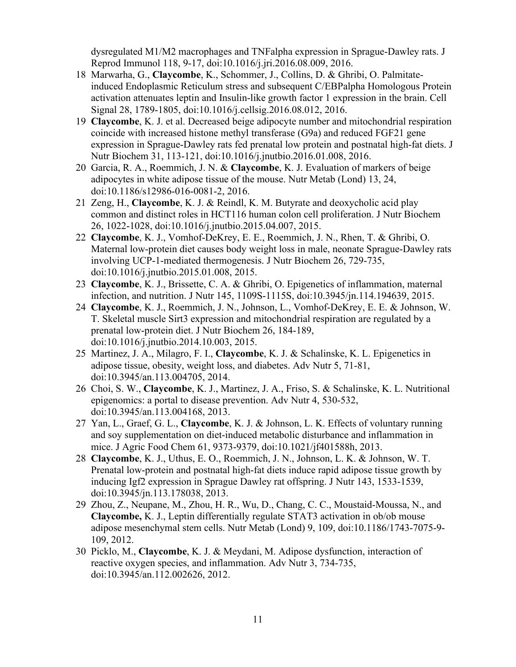dysregulated M1/M2 macrophages and TNFalpha expression in Sprague-Dawley rats. J Reprod Immunol 118, 9-17, doi:10.1016/j.jri.2016.08.009, 2016.

- 18 Marwarha, G., **Claycombe**, K., Schommer, J., Collins, D. & Ghribi, O. Palmitateinduced Endoplasmic Reticulum stress and subsequent C/EBPalpha Homologous Protein activation attenuates leptin and Insulin-like growth factor 1 expression in the brain. Cell Signal 28, 1789-1805, doi:10.1016/j.cellsig.2016.08.012, 2016.
- 19 **Claycombe**, K. J. et al. Decreased beige adipocyte number and mitochondrial respiration coincide with increased histone methyl transferase (G9a) and reduced FGF21 gene expression in Sprague-Dawley rats fed prenatal low protein and postnatal high-fat diets. J Nutr Biochem 31, 113-121, doi:10.1016/j.jnutbio.2016.01.008, 2016.
- 20 Garcia, R. A., Roemmich, J. N. & **Claycombe**, K. J. Evaluation of markers of beige adipocytes in white adipose tissue of the mouse. Nutr Metab (Lond) 13, 24, doi:10.1186/s12986-016-0081-2, 2016.
- 21 Zeng, H., **Claycombe**, K. J. & Reindl, K. M. Butyrate and deoxycholic acid play common and distinct roles in HCT116 human colon cell proliferation. J Nutr Biochem 26, 1022-1028, doi:10.1016/j.jnutbio.2015.04.007, 2015.
- 22 **Claycombe**, K. J., Vomhof-DeKrey, E. E., Roemmich, J. N., Rhen, T. & Ghribi, O. Maternal low-protein diet causes body weight loss in male, neonate Sprague-Dawley rats involving UCP-1-mediated thermogenesis. J Nutr Biochem 26, 729-735, doi:10.1016/j.jnutbio.2015.01.008, 2015.
- 23 **Claycombe**, K. J., Brissette, C. A. & Ghribi, O. Epigenetics of inflammation, maternal infection, and nutrition. J Nutr 145, 1109S-1115S, doi:10.3945/jn.114.194639, 2015.
- 24 **Claycombe**, K. J., Roemmich, J. N., Johnson, L., Vomhof-DeKrey, E. E. & Johnson, W. T. Skeletal muscle Sirt3 expression and mitochondrial respiration are regulated by a prenatal low-protein diet. J Nutr Biochem 26, 184-189, doi:10.1016/j.jnutbio.2014.10.003, 2015.
- 25 Martinez, J. A., Milagro, F. I., **Claycombe**, K. J. & Schalinske, K. L. Epigenetics in adipose tissue, obesity, weight loss, and diabetes. Adv Nutr 5, 71-81, doi:10.3945/an.113.004705, 2014.
- 26 Choi, S. W., **Claycombe**, K. J., Martinez, J. A., Friso, S. & Schalinske, K. L. Nutritional epigenomics: a portal to disease prevention. Adv Nutr 4, 530-532, doi:10.3945/an.113.004168, 2013.
- 27 Yan, L., Graef, G. L., **Claycombe**, K. J. & Johnson, L. K. Effects of voluntary running and soy supplementation on diet-induced metabolic disturbance and inflammation in mice. J Agric Food Chem 61, 9373-9379, doi:10.1021/jf401588h, 2013.
- 28 **Claycombe**, K. J., Uthus, E. O., Roemmich, J. N., Johnson, L. K. & Johnson, W. T. Prenatal low-protein and postnatal high-fat diets induce rapid adipose tissue growth by inducing Igf2 expression in Sprague Dawley rat offspring. J Nutr 143, 1533-1539, doi:10.3945/jn.113.178038, 2013.
- 29 Zhou, Z., Neupane, M., Zhou, H. R., Wu, D., Chang, C. C., Moustaid-Moussa, N., and **Claycombe,** K. J., Leptin differentially regulate STAT3 activation in ob/ob mouse adipose mesenchymal stem cells. Nutr Metab (Lond) 9, 109, doi:10.1186/1743-7075-9- 109, 2012.
- 30 Picklo, M., **Claycombe**, K. J. & Meydani, M. Adipose dysfunction, interaction of reactive oxygen species, and inflammation. Adv Nutr 3, 734-735, doi:10.3945/an.112.002626, 2012.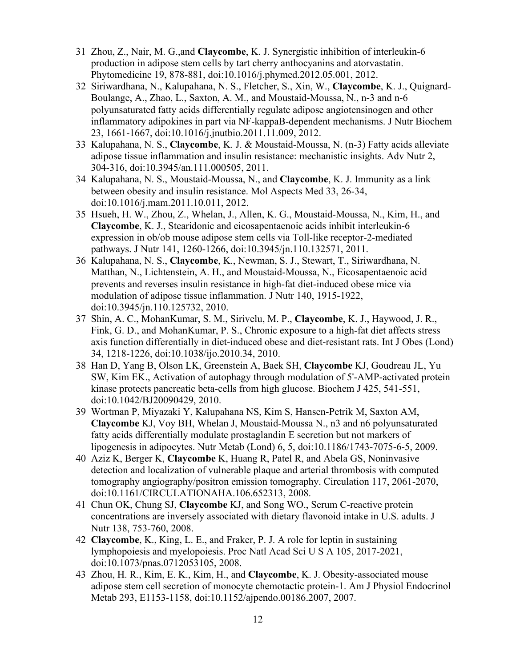- 31 Zhou, Z., Nair, M. G.,and **Claycombe**, K. J. Synergistic inhibition of interleukin-6 production in adipose stem cells by tart cherry anthocyanins and atorvastatin. Phytomedicine 19, 878-881, doi:10.1016/j.phymed.2012.05.001, 2012.
- 32 Siriwardhana, N., Kalupahana, N. S., Fletcher, S., Xin, W., **Claycombe**, K. J., Quignard-Boulange, A., Zhao, L., Saxton, A. M., and Moustaid-Moussa, N., n-3 and n-6 polyunsaturated fatty acids differentially regulate adipose angiotensinogen and other inflammatory adipokines in part via NF-kappaB-dependent mechanisms. J Nutr Biochem 23, 1661-1667, doi:10.1016/j.jnutbio.2011.11.009, 2012.
- 33 Kalupahana, N. S., **Claycombe**, K. J. & Moustaid-Moussa, N. (n-3) Fatty acids alleviate adipose tissue inflammation and insulin resistance: mechanistic insights. Adv Nutr 2, 304-316, doi:10.3945/an.111.000505, 2011.
- 34 Kalupahana, N. S., Moustaid-Moussa, N., and **Claycombe**, K. J. Immunity as a link between obesity and insulin resistance. Mol Aspects Med 33, 26-34, doi:10.1016/j.mam.2011.10.011, 2012.
- 35 Hsueh, H. W., Zhou, Z., Whelan, J., Allen, K. G., Moustaid-Moussa, N., Kim, H., and **Claycombe**, K. J., Stearidonic and eicosapentaenoic acids inhibit interleukin-6 expression in ob/ob mouse adipose stem cells via Toll-like receptor-2-mediated pathways. J Nutr 141, 1260-1266, doi:10.3945/jn.110.132571, 2011.
- 36 Kalupahana, N. S., **Claycombe**, K., Newman, S. J., Stewart, T., Siriwardhana, N. Matthan, N., Lichtenstein, A. H., and Moustaid-Moussa, N., Eicosapentaenoic acid prevents and reverses insulin resistance in high-fat diet-induced obese mice via modulation of adipose tissue inflammation. J Nutr 140, 1915-1922, doi:10.3945/jn.110.125732, 2010.
- 37 Shin, A. C., MohanKumar, S. M., Sirivelu, M. P., **Claycombe**, K. J., Haywood, J. R., Fink, G. D., and MohanKumar, P. S., Chronic exposure to a high-fat diet affects stress axis function differentially in diet-induced obese and diet-resistant rats. Int J Obes (Lond) 34, 1218-1226, doi:10.1038/ijo.2010.34, 2010.
- 38 Han D, Yang B, Olson LK, Greenstein A, Baek SH, **Claycombe** KJ, Goudreau JL, Yu SW, Kim EK., Activation of autophagy through modulation of 5'-AMP-activated protein kinase protects pancreatic beta-cells from high glucose. Biochem J 425, 541-551, doi:10.1042/BJ20090429, 2010.
- 39 Wortman P, Miyazaki Y, Kalupahana NS, Kim S, Hansen-Petrik M, Saxton AM, **Claycombe** KJ, Voy BH, Whelan J, Moustaid-Moussa N., n3 and n6 polyunsaturated fatty acids differentially modulate prostaglandin E secretion but not markers of lipogenesis in adipocytes. Nutr Metab (Lond) 6, 5, doi:10.1186/1743-7075-6-5, 2009.
- 40 Aziz K, Berger K, **Claycombe** K, Huang R, Patel R, and Abela GS, Noninvasive detection and localization of vulnerable plaque and arterial thrombosis with computed tomography angiography/positron emission tomography. Circulation 117, 2061-2070, doi:10.1161/CIRCULATIONAHA.106.652313, 2008.
- 41 Chun OK, Chung SJ, **Claycombe** KJ, and Song WO., Serum C-reactive protein concentrations are inversely associated with dietary flavonoid intake in U.S. adults. J Nutr 138, 753-760, 2008.
- 42 **Claycombe**, K., King, L. E., and Fraker, P. J. A role for leptin in sustaining lymphopoiesis and myelopoiesis. Proc Natl Acad Sci U S A 105, 2017-2021, doi:10.1073/pnas.0712053105, 2008.
- 43 Zhou, H. R., Kim, E. K., Kim, H., and **Claycombe**, K. J. Obesity-associated mouse adipose stem cell secretion of monocyte chemotactic protein-1. Am J Physiol Endocrinol Metab 293, E1153-1158, doi:10.1152/ajpendo.00186.2007, 2007.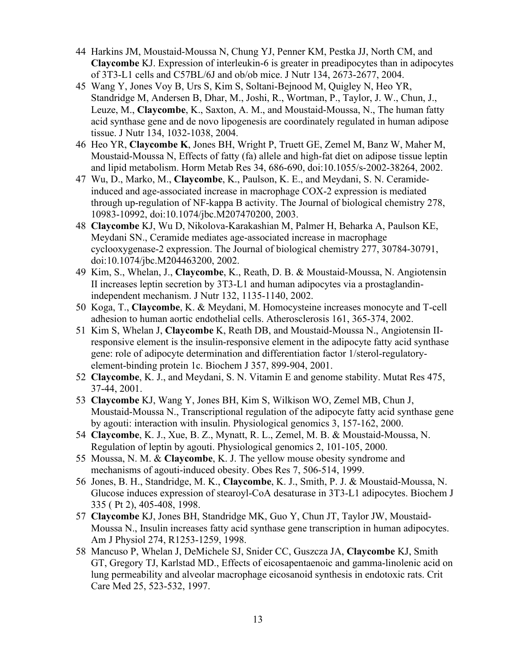- 44 Harkins JM, Moustaid-Moussa N, Chung YJ, Penner KM, Pestka JJ, North CM, and **Claycombe** KJ. Expression of interleukin-6 is greater in preadipocytes than in adipocytes of 3T3-L1 cells and C57BL/6J and ob/ob mice. J Nutr 134, 2673-2677, 2004.
- 45 Wang Y, Jones Voy B, Urs S, Kim S, Soltani-Bejnood M, Quigley N, Heo YR, Standridge M, Andersen B, Dhar, M., Joshi, R., Wortman, P., Taylor, J. W., Chun, J., Leuze, M., **Claycombe**, K., Saxton, A. M., and Moustaid-Moussa, N., The human fatty acid synthase gene and de novo lipogenesis are coordinately regulated in human adipose tissue. J Nutr 134, 1032-1038, 2004.
- 46 Heo YR, **Claycombe K**, Jones BH, Wright P, Truett GE, Zemel M, Banz W, Maher M, Moustaid-Moussa N, Effects of fatty (fa) allele and high-fat diet on adipose tissue leptin and lipid metabolism. Horm Metab Res 34, 686-690, doi:10.1055/s-2002-38264, 2002.
- 47 Wu, D., Marko, M., **Claycombe**, K., Paulson, K. E., and Meydani, S. N. Ceramideinduced and age-associated increase in macrophage COX-2 expression is mediated through up-regulation of NF-kappa B activity. The Journal of biological chemistry 278, 10983-10992, doi:10.1074/jbc.M207470200, 2003.
- 48 **Claycombe** KJ, Wu D, Nikolova-Karakashian M, Palmer H, Beharka A, Paulson KE, Meydani SN., Ceramide mediates age-associated increase in macrophage cyclooxygenase-2 expression. The Journal of biological chemistry 277, 30784-30791, doi:10.1074/jbc.M204463200, 2002.
- 49 Kim, S., Whelan, J., **Claycombe**, K., Reath, D. B. & Moustaid-Moussa, N. Angiotensin II increases leptin secretion by 3T3-L1 and human adipocytes via a prostaglandinindependent mechanism. J Nutr 132, 1135-1140, 2002.
- 50 Koga, T., **Claycombe**, K. & Meydani, M. Homocysteine increases monocyte and T-cell adhesion to human aortic endothelial cells. Atherosclerosis 161, 365-374, 2002.
- 51 Kim S, Whelan J, **Claycombe** K, Reath DB, and Moustaid-Moussa N., Angiotensin IIresponsive element is the insulin-responsive element in the adipocyte fatty acid synthase gene: role of adipocyte determination and differentiation factor 1/sterol-regulatoryelement-binding protein 1c. Biochem J 357, 899-904, 2001.
- 52 **Claycombe**, K. J., and Meydani, S. N. Vitamin E and genome stability. Mutat Res 475, 37-44, 2001.
- 53 **Claycombe** KJ, Wang Y, Jones BH, Kim S, Wilkison WO, Zemel MB, Chun J, Moustaid-Moussa N., Transcriptional regulation of the adipocyte fatty acid synthase gene by agouti: interaction with insulin. Physiological genomics 3, 157-162, 2000.
- 54 **Claycombe**, K. J., Xue, B. Z., Mynatt, R. L., Zemel, M. B. & Moustaid-Moussa, N. Regulation of leptin by agouti. Physiological genomics 2, 101-105, 2000.
- 55 Moussa, N. M. & **Claycombe**, K. J. The yellow mouse obesity syndrome and mechanisms of agouti-induced obesity. Obes Res 7, 506-514, 1999.
- 56 Jones, B. H., Standridge, M. K., **Claycombe**, K. J., Smith, P. J. & Moustaid-Moussa, N. Glucose induces expression of stearoyl-CoA desaturase in 3T3-L1 adipocytes. Biochem J 335 ( Pt 2), 405-408, 1998.
- 57 **Claycombe** KJ, Jones BH, Standridge MK, Guo Y, Chun JT, Taylor JW, Moustaid-Moussa N., Insulin increases fatty acid synthase gene transcription in human adipocytes. Am J Physiol 274, R1253-1259, 1998.
- 58 Mancuso P, Whelan J, DeMichele SJ, Snider CC, Guszcza JA, **Claycombe** KJ, Smith GT, Gregory TJ, Karlstad MD., Effects of eicosapentaenoic and gamma-linolenic acid on lung permeability and alveolar macrophage eicosanoid synthesis in endotoxic rats. Crit Care Med 25, 523-532, 1997.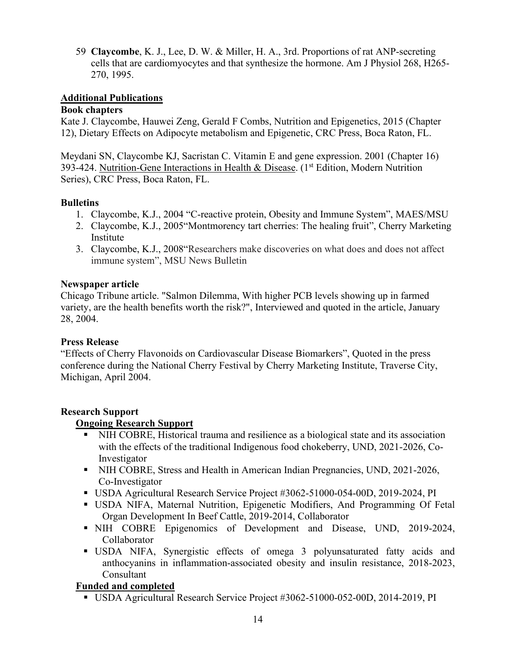59 **Claycombe**, K. J., Lee, D. W. & Miller, H. A., 3rd. Proportions of rat ANP-secreting cells that are cardiomyocytes and that synthesize the hormone. Am J Physiol 268, H265- 270, 1995.

### **Additional Publications**

### **Book chapters**

Kate J. Claycombe, Hauwei Zeng, Gerald F Combs, Nutrition and Epigenetics, 2015 (Chapter 12), Dietary Effects on Adipocyte metabolism and Epigenetic, CRC Press, Boca Raton, FL.

Meydani SN, Claycombe KJ, Sacristan C. Vitamin E and gene expression. 2001 (Chapter 16) 393-424. Nutrition-Gene Interactions in Health & Disease. (1<sup>st</sup> Edition, Modern Nutrition Series), CRC Press, Boca Raton, FL.

### **Bulletins**

- 1. Claycombe, K.J., 2004 "C-reactive protein, Obesity and Immune System", MAES/MSU
- 2. Claycombe, K.J., 2005"Montmorency tart cherries: The healing fruit", Cherry Marketing Institute
- 3. Claycombe, K.J., 2008"Researchers make discoveries on what does and does not affect immune system", MSU News Bulletin

### **Newspaper article**

Chicago Tribune article. "Salmon Dilemma, With higher PCB levels showing up in farmed variety, are the health benefits worth the risk?", Interviewed and quoted in the article, January 28, 2004.

### **Press Release**

"Effects of Cherry Flavonoids on Cardiovascular Disease Biomarkers", Quoted in the press conference during the National Cherry Festival by Cherry Marketing Institute, Traverse City, Michigan, April 2004.

# **Research Support**

# **Ongoing Research Support**

- NIH COBRE, Historical trauma and resilience as a biological state and its association with the effects of the traditional Indigenous food chokeberry, UND, 2021-2026, Co-Investigator
- NIH COBRE, Stress and Health in American Indian Pregnancies, UND, 2021-2026, Co-Investigator
- USDA Agricultural Research Service Project #3062-51000-054-00D, 2019-2024, PI
- USDA NIFA, Maternal Nutrition, Epigenetic Modifiers, And Programming Of Fetal Organ Development In Beef Cattle, 2019-2014, Collaborator
- NIH COBRE Epigenomics of Development and Disease, UND, 2019-2024, Collaborator
- USDA NIFA, Synergistic effects of omega 3 polyunsaturated fatty acids and anthocyanins in inflammation-associated obesity and insulin resistance, 2018-2023, Consultant

# **Funded and completed**

USDA Agricultural Research Service Project #3062-51000-052-00D, 2014-2019, PI